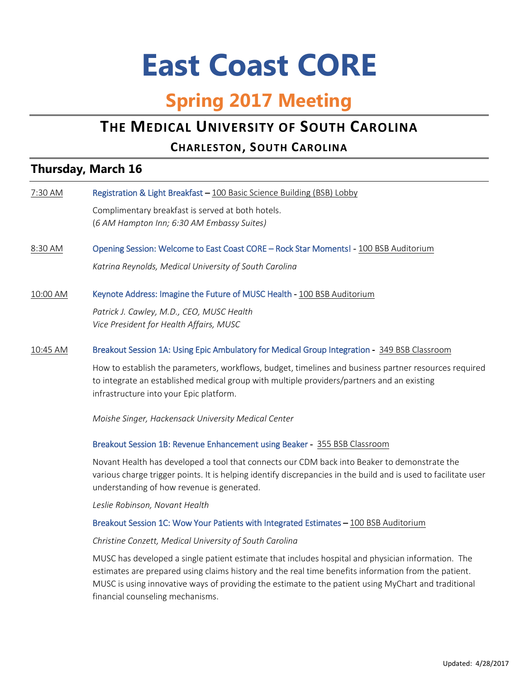# **East Coast CORE**

# **Spring 2017 Meeting**

# **THE MEDICAL UNIVERSITY OF SOUTH CAROLINA**

## **CHARLESTON, SOUTH CAROLINA**

## **Thursday, March 16**

| 7:30 AM  | Registration & Light Breakfast - 100 Basic Science Building (BSB) Lobby                                                                                                                                                                                                                                                                                |
|----------|--------------------------------------------------------------------------------------------------------------------------------------------------------------------------------------------------------------------------------------------------------------------------------------------------------------------------------------------------------|
|          | Complimentary breakfast is served at both hotels.                                                                                                                                                                                                                                                                                                      |
|          | (6 AM Hampton Inn; 6:30 AM Embassy Suites)                                                                                                                                                                                                                                                                                                             |
| 8:30 AM  | Opening Session: Welcome to East Coast CORE - Rock Star Moments! - 100 BSB Auditorium                                                                                                                                                                                                                                                                  |
|          | Katrina Reynolds, Medical University of South Carolina                                                                                                                                                                                                                                                                                                 |
| 10:00 AM | Keynote Address: Imagine the Future of MUSC Health - 100 BSB Auditorium                                                                                                                                                                                                                                                                                |
|          | Patrick J. Cawley, M.D., CEO, MUSC Health<br>Vice President for Health Affairs, MUSC                                                                                                                                                                                                                                                                   |
| 10:45 AM | Breakout Session 1A: Using Epic Ambulatory for Medical Group Integration - 349 BSB Classroom                                                                                                                                                                                                                                                           |
|          | How to establish the parameters, workflows, budget, timelines and business partner resources required<br>to integrate an established medical group with multiple providers/partners and an existing<br>infrastructure into your Epic platform.                                                                                                         |
|          | Moishe Singer, Hackensack University Medical Center                                                                                                                                                                                                                                                                                                    |
|          | Breakout Session 1B: Revenue Enhancement using Beaker - 355 BSB Classroom                                                                                                                                                                                                                                                                              |
|          | Novant Health has developed a tool that connects our CDM back into Beaker to demonstrate the<br>various charge trigger points. It is helping identify discrepancies in the build and is used to facilitate user<br>understanding of how revenue is generated.                                                                                          |
|          | Leslie Robinson, Novant Health                                                                                                                                                                                                                                                                                                                         |
|          | Breakout Session 1C: Wow Your Patients with Integrated Estimates - 100 BSB Auditorium                                                                                                                                                                                                                                                                  |
|          | Christine Conzett, Medical University of South Carolina                                                                                                                                                                                                                                                                                                |
|          | MUSC has developed a single patient estimate that includes hospital and physician information. The<br>estimates are prepared using claims history and the real time benefits information from the patient.<br>MUSC is using innovative ways of providing the estimate to the patient using MyChart and traditional<br>financial counseling mechanisms. |
|          |                                                                                                                                                                                                                                                                                                                                                        |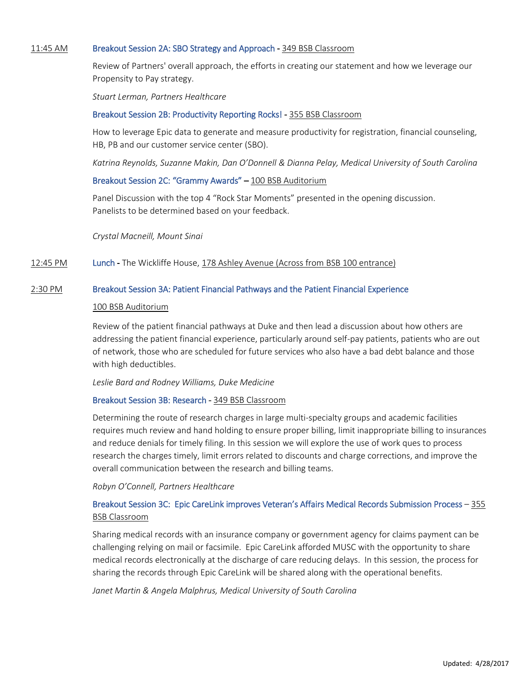#### 11:45 AM Breakout Session 2A: SBO Strategy and Approach - 349 BSB Classroom

Review of Partners' overall approach, the efforts in creating our statement and how we leverage our Propensity to Pay strategy.

*Stuart Lerman, Partners Healthcare*

#### Breakout Session 2B: Productivity Reporting Rocks! - 355 BSB Classroom

How to leverage Epic data to generate and measure productivity for registration, financial counseling, HB, PB and our customer service center (SBO).

*Katrina Reynolds, Suzanne Makin, Dan O'Donnell & Dianna Pelay, Medical University of South Carolina*

#### Breakout Session 2C: "Grammy Awards" – 100 BSB Auditorium

Panel Discussion with the top 4 "Rock Star Moments" presented in the opening discussion. Panelists to be determined based on your feedback.

*Crystal Macneill, Mount Sinai*

#### 12:45 PM Lunch - The Wickliffe House, 178 Ashley Avenue (Across from BSB 100 entrance)

#### 2:30 PM Breakout Session 3A: Patient Financial Pathways and the Patient Financial Experience

#### 100 BSB Auditorium

Review of the patient financial pathways at Duke and then lead a discussion about how others are addressing the patient financial experience, particularly around self-pay patients, patients who are out of network, those who are scheduled for future services who also have a bad debt balance and those with high deductibles.

*Leslie Bard and Rodney Williams, Duke Medicine*

#### Breakout Session 3B: Research - 349 BSB Classroom

Determining the route of research charges in large multi-specialty groups and academic facilities requires much review and hand holding to ensure proper billing, limit inappropriate billing to insurances and reduce denials for timely filing. In this session we will explore the use of work ques to process research the charges timely, limit errors related to discounts and charge corrections, and improve the overall communication between the research and billing teams.

*Robyn O'Connell, Partners Healthcare*

#### Breakout Session 3C: Epic CareLink improves Veteran's Affairs Medical Records Submission Process – 355 BSB Classroom

Sharing medical records with an insurance company or government agency for claims payment can be challenging relying on mail or facsimile. Epic CareLink afforded MUSC with the opportunity to share medical records electronically at the discharge of care reducing delays. In this session, the process for sharing the records through Epic CareLink will be shared along with the operational benefits.

*Janet Martin & Angela Malphrus, Medical University of South Carolina*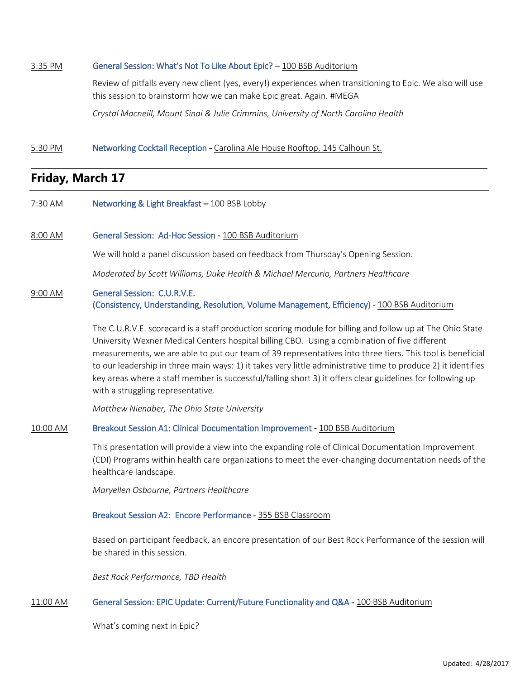#### 3:35 PM General Session: What's Not To Like About Epic? - 100 BSB Auditorium

Review of pitfalls every new client (yes, every!) experiences when transitioning to Epic. We also will use this session to brainstorm how we can make Epic great. Again. #MEGA

*Crystal Macneill, Mount Sinai & Julie Crimmins, University of North Carolina Health*

#### 5:30 PM Networking Cocktail Reception - Carolina Ale House Rooftop, 145 Calhoun St.

### **Friday, March 17**

- 7:30 AM **Networking & Light Breakfast 100 BSB Lobby**
- 8:00 AM General Session: Ad-Hoc Session 100 BSB Auditorium

We will hold a panel discussion based on feedback from Thursday's Opening Session.

*Moderated by Scott Williams, Duke Health & Michael Mercurio, Partners Healthcare*

#### 9:00 AM General Session: C.U.R.V.E. (Consistency, Understanding, Resolution, Volume Management, Efficiency) - 100 BSB Auditorium

The C.U.R.V.E. scorecard is a staff production scoring module for billing and follow up at The Ohio State University Wexner Medical Centers hospital billing CBO. Using a combination of five different measurements, we are able to put our team of 39 representatives into three tiers. This tool is beneficial to our leadership in three main ways: 1) it takes very little administrative time to produce 2) it identifies key areas where a staff member is successful/falling short 3) it offers clear guidelines for following up with a struggling representative.

*Matthew Nienaber, The Ohio State University*

#### 10:00 AM Breakout Session A1: Clinical Documentation Improvement - 100 BSB Auditorium

This presentation will provide a view into the expanding role of Clinical Documentation Improvement (CDI) Programs within health care organizations to meet the ever-changing documentation needs of the healthcare landscape.

*Maryellen Osbourne, Partners Healthcare*

#### Breakout Session A2: Encore Performance - 355 BSB Classroom

Based on participant feedback, an encore presentation of our Best Rock Performance of the session will be shared in this session.

*Best Rock Performance, TBD Health*

#### 11:00 AM General Session: EPIC Update: Current/Future Functionality and Q&A - 100 BSB Auditorium

What's coming next in Epic?